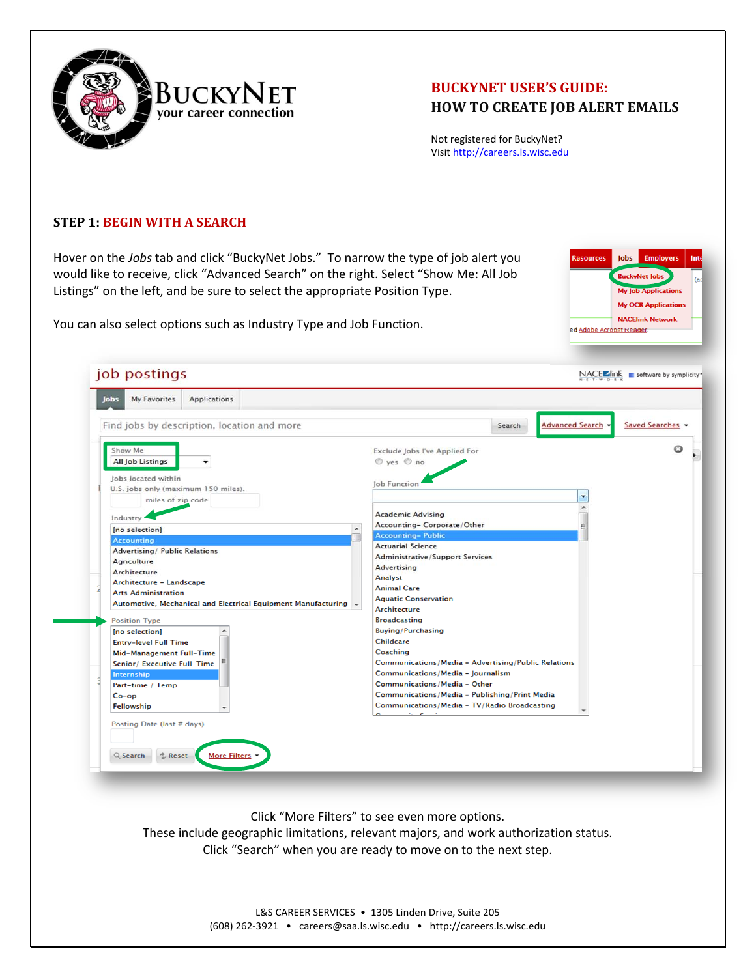

## **BUCKYNET USER'S GUIDE: HOW TO CREATE JOB ALERT EMAILS**

Not registered for BuckyNet? Visit http://careers.ls.wisc.edu

## **STEP 1: BEGIN WITH A SEARCH**

Hover on the *Jobs* tab and click "BuckyNet Jobs." To narrow the type of job alert you would like to receive, click "Advanced Search" on the right. Select "Show Me: All Job Listings" on the left, and be sure to select the appropriate Position Type.

You can also select options such as Industry Type and Job Function.



| Find jobs by description, location and more                                                                                                                                                                                                                                                                                                                                                                                                            | <b>Advanced Search</b><br>Saved Searches<br>Search                                                                                                                                                                                                                                                                                                                                                                                                                                                                                                                    |
|--------------------------------------------------------------------------------------------------------------------------------------------------------------------------------------------------------------------------------------------------------------------------------------------------------------------------------------------------------------------------------------------------------------------------------------------------------|-----------------------------------------------------------------------------------------------------------------------------------------------------------------------------------------------------------------------------------------------------------------------------------------------------------------------------------------------------------------------------------------------------------------------------------------------------------------------------------------------------------------------------------------------------------------------|
| Show Me<br><b>All Job Listings</b><br>$\check{}$<br>Jobs located within<br>U.S. jobs only (maximum 150 miles).<br>miles of zip code<br>Industry                                                                                                                                                                                                                                                                                                        | Exclude Jobs I've Applied For<br>$\circledcirc$ yes $\circledcirc$ no<br>Job Function<br>۰<br>٠<br><b>Academic Advising</b>                                                                                                                                                                                                                                                                                                                                                                                                                                           |
| [no selection]<br><b>Accounting</b><br><b>Advertising/ Public Relations</b><br><b>Agriculture</b><br>Architecture<br>Architecture - Landscape<br><b>Arts Administration</b><br>Automotive, Mechanical and Electrical Equipment Manufacturing +<br><b>Position Type</b><br>[no selection]<br><b>Entry-level Full Time</b><br><b>Mid-Management Full-Time</b><br>Senior/ Executive Full-Time<br>Internship<br>Part-time / Temp<br>$Co$ -op<br>Fellowship | Accounting-Corporate/Other<br>Ξ<br><b>Accounting-Public</b><br><b>Actuarial Science</b><br><b>Administrative/Support Services</b><br><b>Advertising</b><br><b>Analyst</b><br><b>Animal Care</b><br><b>Aquatic Conservation</b><br><b>Architecture</b><br><b>Broadcasting</b><br><b>Buying/Purchasing</b><br><b>Childcare</b><br>Coaching<br>Communications/Media - Advertising/Public Relations<br>Communications/Media - Journalism<br>Communications/Media - Other<br>Communications/Media - Publishing/Print Media<br>Communications/Media - TV/Radio Broadcasting |
| Posting Date (last # days)                                                                                                                                                                                                                                                                                                                                                                                                                             |                                                                                                                                                                                                                                                                                                                                                                                                                                                                                                                                                                       |

Click "More Filters" to see even more options. These include geographic limitations, relevant majors, and work authorization status. Click "Search" when you are ready to move on to the next step.

> L&S CAREER SERVICES . 1305 Linden Drive, Suite 205 (608) 262‐3921 • careers@saa.ls.wisc.edu • http://careers.ls.wisc.edu